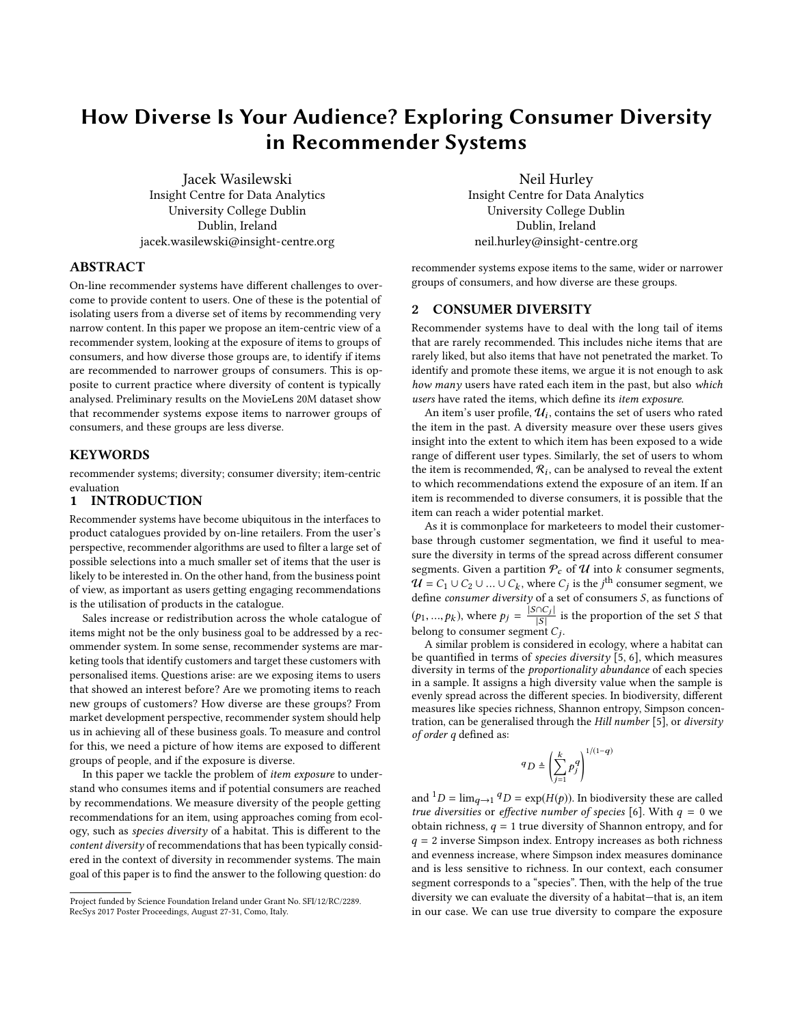# How Diverse Is Your Audience? Exploring Consumer Diversity in Recommender Systems

Jacek Wasilewski Insight Centre for Data Analytics University College Dublin Dublin, Ireland jacek.wasilewski@insight-centre.org

#### ABSTRACT

On-line recommender systems have different challenges to overcome to provide content to users. One of these is the potential of isolating users from a diverse set of items by recommending very narrow content. In this paper we propose an item-centric view of a recommender system, looking at the exposure of items to groups of consumers, and how diverse those groups are, to identify if items are recommended to narrower groups of consumers. This is opposite to current practice where diversity of content is typically analysed. Preliminary results on the MovieLens 20M dataset show that recommender systems expose items to narrower groups of consumers, and these groups are less diverse.

### **KEYWORDS**

recommender systems; diversity; consumer diversity; item-centric evaluation

## 1 INTRODUCTION

Recommender systems have become ubiquitous in the interfaces to product catalogues provided by on-line retailers. From the user's perspective, recommender algorithms are used to filter a large set of possible selections into a much smaller set of items that the user is likely to be interested in. On the other hand, from the business point of view, as important as users getting engaging recommendations is the utilisation of products in the catalogue.

Sales increase or redistribution across the whole catalogue of items might not be the only business goal to be addressed by a recommender system. In some sense, recommender systems are marketing tools that identify customers and target these customers with personalised items. Questions arise: are we exposing items to users that showed an interest before? Are we promoting items to reach new groups of customers? How diverse are these groups? From market development perspective, recommender system should help us in achieving all of these business goals. To measure and control for this, we need a picture of how items are exposed to different groups of people, and if the exposure is diverse.

In this paper we tackle the problem of item exposure to understand who consumes items and if potential consumers are reached by recommendations. We measure diversity of the people getting recommendations for an item, using approaches coming from ecology, such as species diversity of a habitat. This is different to the content diversity of recommendations that has been typically considered in the context of diversity in recommender systems. The main goal of this paper is to find the answer to the following question: do

Neil Hurley Insight Centre for Data Analytics University College Dublin Dublin, Ireland neil.hurley@insight-centre.org

recommender systems expose items to the same, wider or narrower groups of consumers, and how diverse are these groups.

#### 2 CONSUMER DIVERSITY

Recommender systems have to deal with the long tail of items that are rarely recommended. This includes niche items that are rarely liked, but also items that have not penetrated the market. To identify and promote these items, we argue it is not enough to ask how many users have rated each item in the past, but also which users have rated the items, which define its item exposure.

An item's user profile,  $\mathcal{U}_i$ , contains the set of users who rated the item in the past. A diversity measure over these users gives insight into the extent to which item has been exposed to a wide range of different user types. Similarly, the set of users to whom the item is recommended,  $\mathcal{R}_i$ , can be analysed to reveal the extent to which recommendations extend the exposure of an item. If an item is recommended to diverse consumers, it is possible that the item can reach a wider potential market.

As it is commonplace for marketeers to model their customerbase through customer segmentation, we find it useful to measure the diversity in terms of the spread across different consumer segments. Given a partition  $P_c$  of  $U$  into k consumer segments,  $U = C_1 \cup C_2 \cup ... \cup C_k$ , where  $C_j$  is the j<sup>th</sup> consumer segment, we define consumer diversity of a set of consumers S, as functions of define consumer diversity of a set of consumers S, as functions of  $(p_1, ..., p_k)$ , where  $p_j = \frac{|S \cap C_j}{|S|}$  $\frac{|\mathcal{C}_j|}{|\mathcal{S}|}$  is the proportion of the set S that belong to consumer segment  $C_j$ .

A similar problem is considered in ecology, where a habitat can be quantified in terms of *species diversity* [\[5,](#page-1-0) [6\]](#page-1-1), which measures diversity in terms of the proportionality abundance of each species in a sample. It assigns a high diversity value when the sample is evenly spread across the different species. In biodiversity, different measures like species richness, Shannon entropy, Simpson concen-tration, can be generalised through the Hill number [\[5\]](#page-1-0), or diversity of order q defined as:

$$
q_D \triangleq \left(\sum_{j=1}^k p_j^q\right)^{1/(1-q)}
$$

and  ${}^{1}D = \lim_{q \to 1} {}^{q}D = \exp(H(p))$ . In biodiversity these are called true diversities or effective number of species [\[6\]](#page-1-1). With  $q = 0$  we obtain richness,  $q = 1$  true diversity of Shannon entropy, and for  $q = 2$  inverse Simpson index. Entropy increases as both richness and evenness increase, where Simpson index measures dominance and is less sensitive to richness. In our context, each consumer segment corresponds to a "species". Then, with the help of the true diversity we can evaluate the diversity of a habitat—that is, an item in our case. We can use true diversity to compare the exposure

Project funded by Science Foundation Ireland under Grant No. SFI/12/RC/2289. RecSys 2017 Poster Proceedings, August 27-31, Como, Italy.